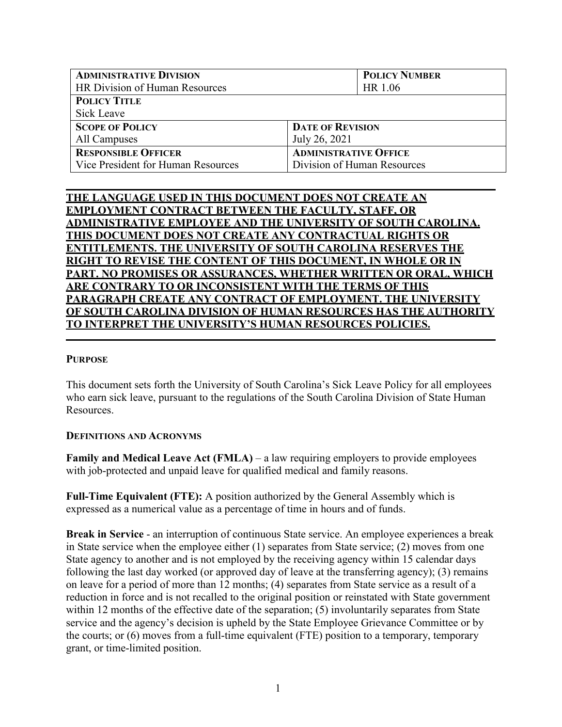| <b>ADMINISTRATIVE DIVISION</b>     | <b>POLICY NUMBER</b>         |  |
|------------------------------------|------------------------------|--|
| HR Division of Human Resources     | HR 1.06                      |  |
| <b>POLICY TITLE</b>                |                              |  |
| Sick Leave                         |                              |  |
| <b>SCOPE OF POLICY</b>             | <b>DATE OF REVISION</b>      |  |
| All Campuses                       | July 26, 2021                |  |
| <b>RESPONSIBLE OFFICER</b>         | <b>ADMINISTRATIVE OFFICE</b> |  |
| Vice President for Human Resources | Division of Human Resources  |  |

# **THE LANGUAGE USED IN THIS DOCUMENT DOES NOT CREATE AN EMPLOYMENT CONTRACT BETWEEN THE FACULTY, STAFF, OR ADMINISTRATIVE EMPLOYEE AND THE UNIVERSITY OF SOUTH CAROLINA. THIS DOCUMENT DOES NOT CREATE ANY CONTRACTUAL RIGHTS OR ENTITLEMENTS. THE UNIVERSITY OF SOUTH CAROLINA RESERVES THE RIGHT TO REVISE THE CONTENT OF THIS DOCUMENT, IN WHOLE OR IN PART. NO PROMISES OR ASSURANCES, WHETHER WRITTEN OR ORAL, WHICH ARE CONTRARY TO OR INCONSISTENT WITH THE TERMS OF THIS PARAGRAPH CREATE ANY CONTRACT OF EMPLOYMENT. THE UNIVERSITY OF SOUTH CAROLINA DIVISION OF HUMAN RESOURCES HAS THE AUTHORITY TO INTERPRET THE UNIVERSITY'S HUMAN RESOURCES POLICIES.**

## **PURPOSE**

This document sets forth the University of South Carolina's Sick Leave Policy for all employees who earn sick leave, pursuant to the regulations of the South Carolina Division of State Human Resources.

## **DEFINITIONS AND ACRONYMS**

**Family and Medical Leave Act (FMLA)** – a law requiring employers to provide employees with job-protected and unpaid leave for qualified medical and family reasons.

**Full-Time Equivalent (FTE):** A position authorized by the General Assembly which is expressed as a numerical value as a percentage of time in hours and of funds.

**Break in Service** - an interruption of continuous State service. An employee experiences a break in State service when the employee either (1) separates from State service; (2) moves from one State agency to another and is not employed by the receiving agency within 15 calendar days following the last day worked (or approved day of leave at the transferring agency); (3) remains on leave for a period of more than 12 months; (4) separates from State service as a result of a reduction in force and is not recalled to the original position or reinstated with State government within 12 months of the effective date of the separation; (5) involuntarily separates from State service and the agency's decision is upheld by the State Employee Grievance Committee or by the courts; or (6) moves from a full-time equivalent (FTE) position to a temporary, temporary grant, or time-limited position.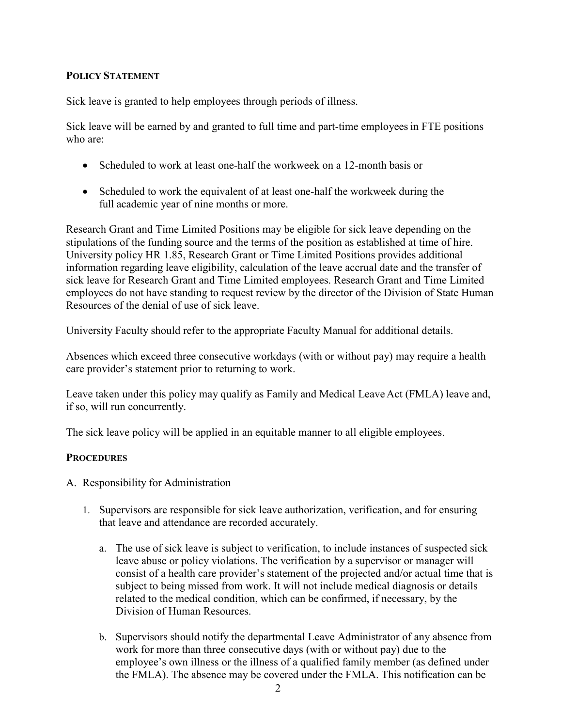# **POLICY STATEMENT**

Sick leave is granted to help employees through periods of illness.

Sick leave will be earned by and granted to full time and part-time employeesin FTE positions who are:

- Scheduled to work at least one-half the workweek on a 12-month basis or
- Scheduled to work the equivalent of at least one-half the workweek during the full academic year of nine months or more.

Research Grant and Time Limited Positions may be eligible for sick leave depending on the stipulations of the funding source and the terms of the position as established at time of hire. University policy HR 1.85, Research Grant or Time Limited Positions provides additional information regarding leave eligibility, calculation of the leave accrual date and the transfer of sick leave for Research Grant and Time Limited employees. Research Grant and Time Limited employees do not have standing to request review by the director of the Division of State Human Resources of the denial of use of sick leave.

University Faculty should refer to the appropriate Faculty Manual for additional details.

Absences which exceed three consecutive workdays (with or without pay) may require a health care provider's statement prior to returning to work.

Leave taken under this policy may qualify as Family and Medical Leave Act (FMLA) leave and, if so, will run concurrently.

The sick leave policy will be applied in an equitable manner to all eligible employees.

# **PROCEDURES**

- A. Responsibility for Administration
	- 1. Supervisors are responsible for sick leave authorization, verification, and for ensuring that leave and attendance are recorded accurately.
		- a. The use of sick leave is subject to verification, to include instances of suspected sick leave abuse or policy violations. The verification by a supervisor or manager will consist of a health care provider's statement of the projected and/or actual time that is subject to being missed from work. It will not include medical diagnosis or details related to the medical condition, which can be confirmed, if necessary, by the Division of Human Resources.
		- b. Supervisors should notify the departmental Leave Administrator of any absence from work for more than three consecutive days (with or without pay) due to the employee's own illness or the illness of a qualified family member (as defined under the FMLA). The absence may be covered under the FMLA. This notification can be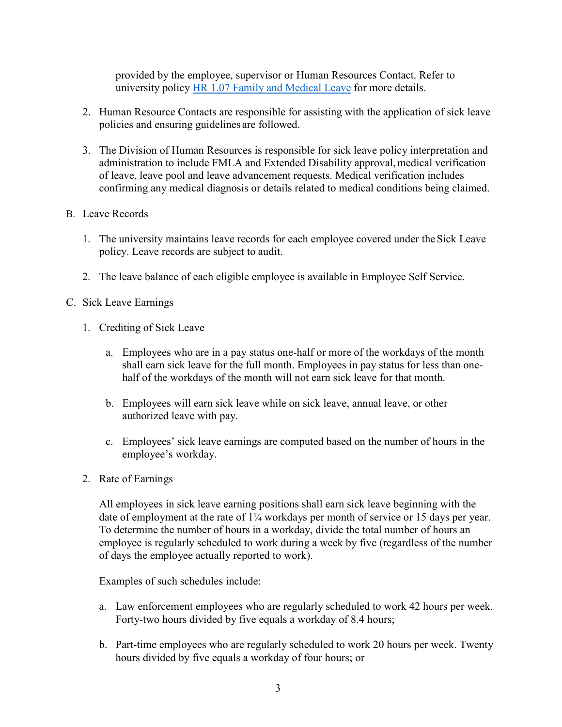provided by the employee, supervisor or Human Resources Contact. Refer to university policy [HR 1.07 Family and Medical Leave](http://www.sc.edu/policies/ppm/hr107.pdf) for more details.

- 2. Human Resource Contacts are responsible for assisting with the application of sick leave policies and ensuring guidelines are followed.
- 3. The Division of Human Resources is responsible for sick leave policy interpretation and administration to include FMLA and Extended Disability approval, medical verification of leave, leave pool and leave advancement requests. Medical verification includes confirming any medical diagnosis or details related to medical conditions being claimed.

## B. Leave Records

- 1. The university maintains leave records for each employee covered under theSick Leave policy. Leave records are subject to audit.
- 2. The leave balance of each eligible employee is available in Employee Self Service.
- C. Sick Leave Earnings
	- 1. Crediting of Sick Leave
		- a. Employees who are in a pay status one-half or more of the workdays of the month shall earn sick leave for the full month. Employees in pay status for less than onehalf of the workdays of the month will not earn sick leave for that month.
		- b. Employees will earn sick leave while on sick leave, annual leave, or other authorized leave with pay.
		- c. Employees' sick leave earnings are computed based on the number of hours in the employee's workday.
	- 2. Rate of Earnings

All employees in sick leave earning positions shall earn sick leave beginning with the date of employment at the rate of 1¼ workdays per month of service or 15 days per year. To determine the number of hours in a workday, divide the total number of hours an employee is regularly scheduled to work during a week by five (regardless of the number of days the employee actually reported to work).

Examples of such schedules include:

- a. Law enforcement employees who are regularly scheduled to work 42 hours per week. Forty-two hours divided by five equals a workday of 8.4 hours;
- b. Part-time employees who are regularly scheduled to work 20 hours per week. Twenty hours divided by five equals a workday of four hours; or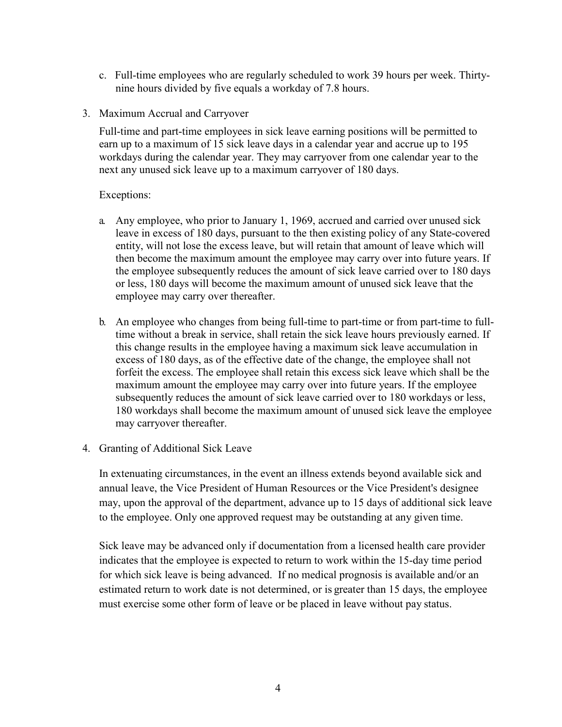- c. Full-time employees who are regularly scheduled to work 39 hours per week. Thirtynine hours divided by five equals a workday of 7.8 hours.
- 3. Maximum Accrual and Carryover

Full-time and part-time employees in sick leave earning positions will be permitted to earn up to a maximum of 15 sick leave days in a calendar year and accrue up to 195 workdays during the calendar year. They may carryover from one calendar year to the next any unused sick leave up to a maximum carryover of 180 days.

#### Exceptions:

- a. Any employee, who prior to January 1, 1969, accrued and carried over unused sick leave in excess of 180 days, pursuant to the then existing policy of any State-covered entity, will not lose the excess leave, but will retain that amount of leave which will then become the maximum amount the employee may carry over into future years. If the employee subsequently reduces the amount of sick leave carried over to 180 days or less, 180 days will become the maximum amount of unused sick leave that the employee may carry over thereafter.
- b. An employee who changes from being full-time to part-time or from part-time to fulltime without a break in service, shall retain the sick leave hours previously earned. If this change results in the employee having a maximum sick leave accumulation in excess of 180 days, as of the effective date of the change, the employee shall not forfeit the excess. The employee shall retain this excess sick leave which shall be the maximum amount the employee may carry over into future years. If the employee subsequently reduces the amount of sick leave carried over to 180 workdays or less, 180 workdays shall become the maximum amount of unused sick leave the employee may carryover thereafter.
- 4. Granting of Additional Sick Leave

In extenuating circumstances, in the event an illness extends beyond available sick and annual leave, the Vice President of Human Resources or the Vice President's designee may, upon the approval of the department, advance up to 15 days of additional sick leave to the employee. Only one approved request may be outstanding at any given time.

Sick leave may be advanced only if documentation from a licensed health care provider indicates that the employee is expected to return to work within the 15-day time period for which sick leave is being advanced. If no medical prognosis is available and/or an estimated return to work date is not determined, or is greater than 15 days, the employee must exercise some other form of leave or be placed in leave without pay status.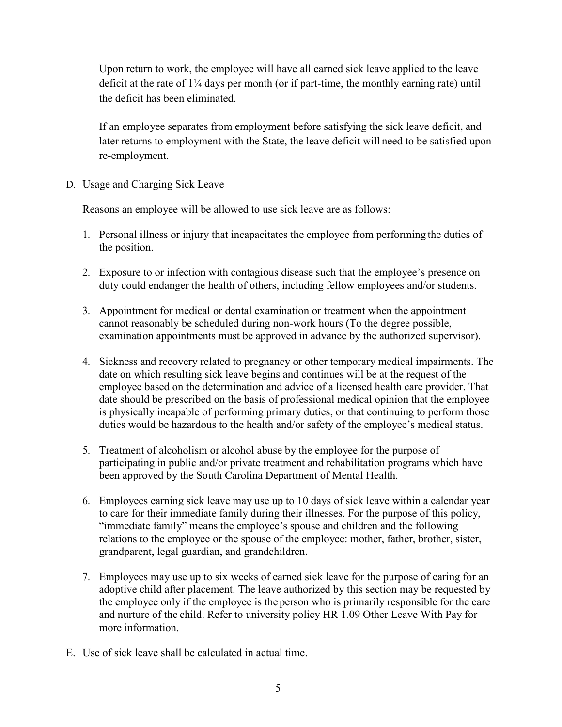Upon return to work, the employee will have all earned sick leave applied to the leave deficit at the rate of 1¼ days per month (or if part-time, the monthly earning rate) until the deficit has been eliminated.

If an employee separates from employment before satisfying the sick leave deficit, and later returns to employment with the State, the leave deficit will need to be satisfied upon re-employment.

D. Usage and Charging Sick Leave

Reasons an employee will be allowed to use sick leave are as follows:

- 1. Personal illness or injury that incapacitates the employee from performing the duties of the position.
- 2. Exposure to or infection with contagious disease such that the employee's presence on duty could endanger the health of others, including fellow employees and/or students.
- 3. Appointment for medical or dental examination or treatment when the appointment cannot reasonably be scheduled during non-work hours (To the degree possible, examination appointments must be approved in advance by the authorized supervisor).
- 4. Sickness and recovery related to pregnancy or other temporary medical impairments. The date on which resulting sick leave begins and continues will be at the request of the employee based on the determination and advice of a licensed health care provider. That date should be prescribed on the basis of professional medical opinion that the employee is physically incapable of performing primary duties, or that continuing to perform those duties would be hazardous to the health and/or safety of the employee's medical status.
- 5. Treatment of alcoholism or alcohol abuse by the employee for the purpose of participating in public and/or private treatment and rehabilitation programs which have been approved by the South Carolina Department of Mental Health.
- 6. Employees earning sick leave may use up to 10 days of sick leave within a calendar year to care for their immediate family during their illnesses. For the purpose of this policy, "immediate family" means the employee's spouse and children and the following relations to the employee or the spouse of the employee: mother, father, brother, sister, grandparent, legal guardian, and grandchildren.
- 7. Employees may use up to six weeks of earned sick leave for the purpose of caring for an adoptive child after placement. The leave authorized by this section may be requested by the employee only if the employee is the person who is primarily responsible for the care and nurture of the child. Refer to university policy HR 1.09 Other Leave With Pay for more information.
- E. Use of sick leave shall be calculated in actual time.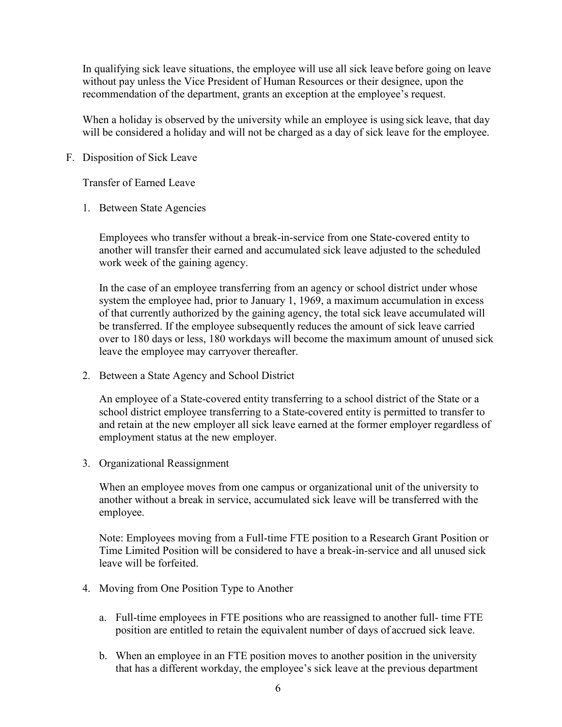In qualifying sick leave situations, the employee will use all sick leave before going on leave without pay unless the Vice President of Human Resources or their designee, upon the recommendation of the department, grants an exception at the employee's request.

When a holiday is observed by the university while an employee is using sick leave, that day will be considered a holiday and will not be charged as a day of sick leave for the employee.

### F. Disposition of Sick Leave

Transfer of Earned Leave

1. Between State Agencies

Employees who transfer without a break-in-service from one State-covered entity to another will transfer their earned and accumulated sick leave adjusted to the scheduled work week of the gaining agency.

In the case of an employee transferring from an agency or school district under whose system the employee had, prior to January 1, 1969, a maximum accumulation in excess of that currently authorized by the gaining agency, the total sick leave accumulated will be transferred. If the employee subsequently reduces the amount of sick leave carried over to 180 days or less, 180 workdays will become the maximum amount of unused sick leave the employee may carryover thereafter.

2. Between a State Agency and School District

An employee of a State-covered entity transferring to a school district of the State or a school district employee transferring to a State-covered entity is permitted to transfer to and retain at the new employer all sick leave earned at the former employer regardless of employment status at the new employer.

3. Organizational Reassignment

When an employee moves from one campus or organizational unit of the university to another without a break in service, accumulated sick leave will be transferred with the employee.

Note: Employees moving from a Full-time FTE position to a Research Grant Position or Time Limited Position will be considered to have a break-in-service and all unused sick leave will be forfeited.

- 4. Moving from One Position Type to Another
	- a. Full-time employees in FTE positions who are reassigned to another full- time FTE position are entitled to retain the equivalent number of days of accrued sick leave.
	- b. When an employee in an FTE position moves to another position in the university that has a different workday, the employee's sick leave at the previous department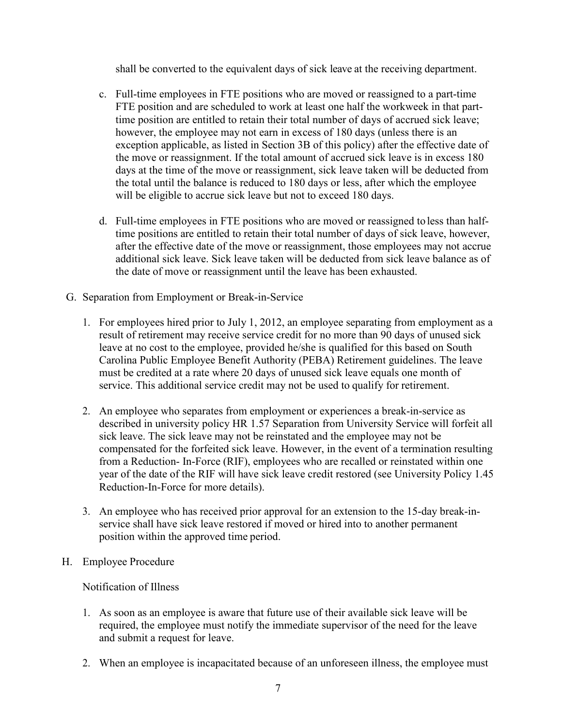shall be converted to the equivalent days of sick leave at the receiving department.

- c. Full-time employees in FTE positions who are moved or reassigned to a part-time FTE position and are scheduled to work at least one half the workweek in that parttime position are entitled to retain their total number of days of accrued sick leave; however, the employee may not earn in excess of 180 days (unless there is an exception applicable, as listed in Section 3B of this policy) after the effective date of the move or reassignment. If the total amount of accrued sick leave is in excess 180 days at the time of the move or reassignment, sick leave taken will be deducted from the total until the balance is reduced to 180 days or less, after which the employee will be eligible to accrue sick leave but not to exceed 180 days.
- d. Full-time employees in FTE positions who are moved or reassigned to less than halftime positions are entitled to retain their total number of days of sick leave, however, after the effective date of the move or reassignment, those employees may not accrue additional sick leave. Sick leave taken will be deducted from sick leave balance as of the date of move or reassignment until the leave has been exhausted.
- G. Separation from Employment or Break-in-Service
	- 1. For employees hired prior to July 1, 2012, an employee separating from employment as a result of retirement may receive service credit for no more than 90 days of unused sick leave at no cost to the employee, provided he/she is qualified for this based on South Carolina Public Employee Benefit Authority (PEBA) Retirement guidelines. The leave must be credited at a rate where 20 days of unused sick leave equals one month of service. This additional service credit may not be used to qualify for retirement.
	- 2. An employee who separates from employment or experiences a break-in-service as described in university policy [HR 1.57 Separation from](http://www.sc.edu/policies/ppm/hr157.pdf) [University Service](http://www.sc.edu/policies/ppm/hr157.pdf) will forfeit all sick leave. The sick leave may not be reinstated and the employee may not be compensated for the forfeited sick leave. However, in the event of a termination resulting from a Reduction- In-Force (RIF), employees who are recalled or reinstated within one year of the date of the RIF will have sick leave credit restored (see University Policy 1.45 Reduction-In-Force for more details).
	- 3. An employee who has received prior approval for an extension to the 15-day break-inservice shall have sick leave restored if moved or hired into to another permanent position within the approved time period.
- H. Employee Procedure

Notification of Illness

- 1. As soon as an employee is aware that future use of their available sick leave will be required, the employee must notify the immediate supervisor of the need for the leave and submit a request for leave.
- 2. When an employee is incapacitated because of an unforeseen illness, the employee must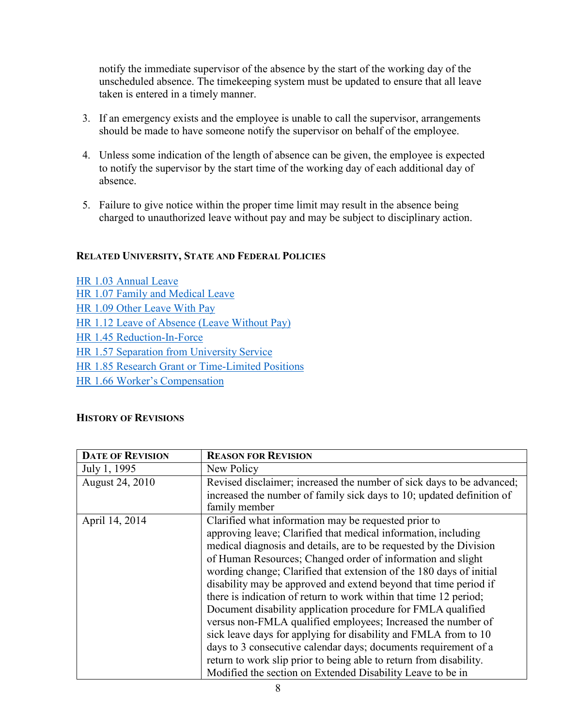notify the immediate supervisor of the absence by the start of the working day of the unscheduled absence. The timekeeping system must be updated to ensure that all leave taken is entered in a timely manner.

- 3. If an emergency exists and the employee is unable to call the supervisor, arrangements should be made to have someone notify the supervisor on behalf of the employee.
- 4. Unless some indication of the length of absence can be given, the employee is expected to notify the supervisor by the start time of the working day of each additional day of absence.
- 5. Failure to give notice within the proper time limit may result in the absence being charged to unauthorized leave without pay and may be subject to disciplinary action.

# **RELATED UNIVERSITY, STATE AND FEDERAL POLICIES**

| HR 1.03 Annual Leave                             |  |
|--------------------------------------------------|--|
| HR 1.07 Family and Medical Leave                 |  |
| HR 1.09 Other Leave With Pay                     |  |
| HR 1.12 Leave of Absence (Leave Without Pay)     |  |
| HR 1.45 Reduction-In-Force                       |  |
| HR 1.57 Separation from University Service       |  |
| HR 1.85 Research Grant or Time-Limited Positions |  |
| HR 1.66 Worker's Compensation                    |  |

## **HISTORY OF REVISIONS**

| <b>DATE OF REVISION</b> | <b>REASON FOR REVISION</b>                                                             |
|-------------------------|----------------------------------------------------------------------------------------|
| July 1, 1995            | New Policy                                                                             |
| August 24, 2010         | Revised disclaimer; increased the number of sick days to be advanced;                  |
|                         | increased the number of family sick days to 10; updated definition of<br>family member |
| April 14, 2014          | Clarified what information may be requested prior to                                   |
|                         | approving leave; Clarified that medical information, including                         |
|                         | medical diagnosis and details, are to be requested by the Division                     |
|                         | of Human Resources; Changed order of information and slight                            |
|                         | wording change; Clarified that extension of the 180 days of initial                    |
|                         | disability may be approved and extend beyond that time period if                       |
|                         | there is indication of return to work within that time 12 period;                      |
|                         | Document disability application procedure for FMLA qualified                           |
|                         | versus non-FMLA qualified employees; Increased the number of                           |
|                         | sick leave days for applying for disability and FMLA from to 10                        |
|                         | days to 3 consecutive calendar days; documents requirement of a                        |
|                         | return to work slip prior to being able to return from disability.                     |
|                         | Modified the section on Extended Disability Leave to be in                             |